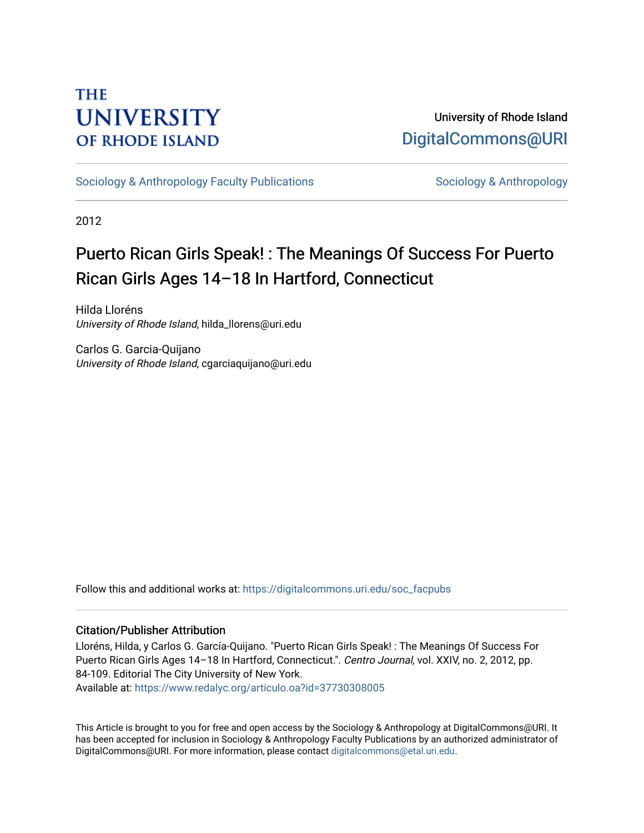### **THE UNIVERSITY OF RHODE ISLAND**

### University of Rhode Island [DigitalCommons@URI](https://digitalcommons.uri.edu/)

[Sociology & Anthropology Faculty Publications](https://digitalcommons.uri.edu/soc_facpubs) [Sociology & Anthropology](https://digitalcommons.uri.edu/soc) & Anthropology

2012

## Puerto Rican Girls Speak! : The Meanings Of Success For Puerto Rican Girls Ages 14–18 In Hartford, Connecticut

Hilda Lloréns University of Rhode Island, hilda\_llorens@uri.edu

Carlos G. Garcia-Quijano University of Rhode Island, cgarciaquijano@uri.edu

Follow this and additional works at: [https://digitalcommons.uri.edu/soc\\_facpubs](https://digitalcommons.uri.edu/soc_facpubs?utm_source=digitalcommons.uri.edu%2Fsoc_facpubs%2F26&utm_medium=PDF&utm_campaign=PDFCoverPages) 

### Citation/Publisher Attribution

Lloréns, Hilda, y Carlos G. García-Quijano. "Puerto Rican Girls Speak! : The Meanings Of Success For Puerto Rican Girls Ages 14–18 In Hartford, Connecticut.". Centro Journal, vol. XXIV, no. 2, 2012, pp. 84-109. Editorial The City University of New York. Available at:<https://www.redalyc.org/articulo.oa?id=37730308005>

This Article is brought to you for free and open access by the Sociology & Anthropology at DigitalCommons@URI. It has been accepted for inclusion in Sociology & Anthropology Faculty Publications by an authorized administrator of DigitalCommons@URI. For more information, please contact [digitalcommons@etal.uri.edu.](mailto:digitalcommons@etal.uri.edu)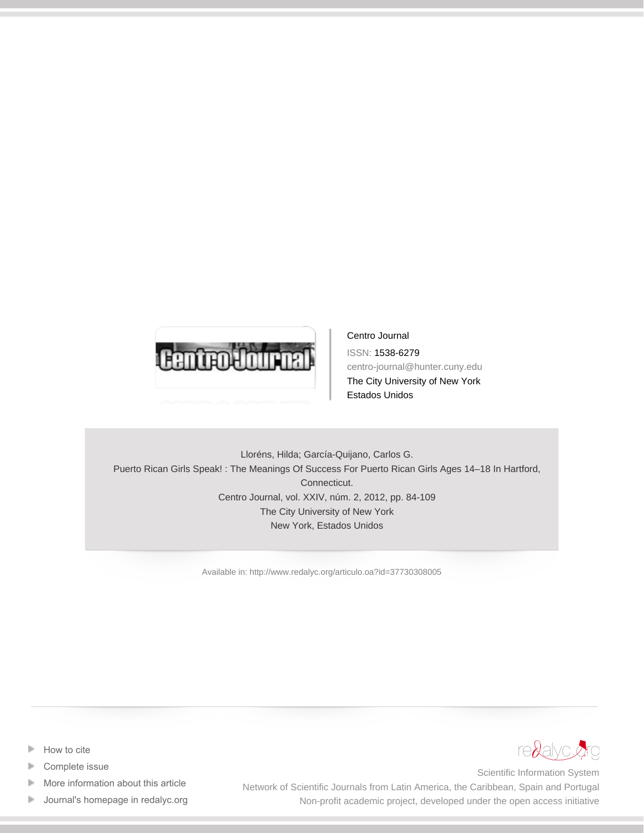

Centro Journal ISSN: 1538-6279 centro-journal@hunter.cuny.edu The City University of New York Estados Unidos

Lloréns, Hilda; García-Quijano, Carlos G. Puerto Rican Girls Speak! : The Meanings Of Success For Puerto Rican Girls Ages 14–18 In Hartford, Connecticut. Centro Journal, vol. XXIV, núm. 2, 2012, pp. 84-109 The City University of New York New York, Estados Unidos

[Available in: http://www.redalyc.org/articulo.oa?id=37730308005](http://www.redalyc.org/articulo.oa?id=37730308005)

- [How to cite](http://www.redalyc.org/comocitar.oa?id=37730308005) Þ
- [Complete issue](http://www.redalyc.org/fasciculo.oa?id=377&numero=30308)
- [More information about this article](http://www.redalyc.org/articulo.oa?id=37730308005) Þ
- [Journal's homepage in redalyc.org](http://www.redalyc.org/revista.oa?id=377)  $\mathbb P$



Scientific Information System Network of Scientific Journals from Latin America, the Caribbean, Spain and Portugal Non-profit academic project, developed under the open access initiative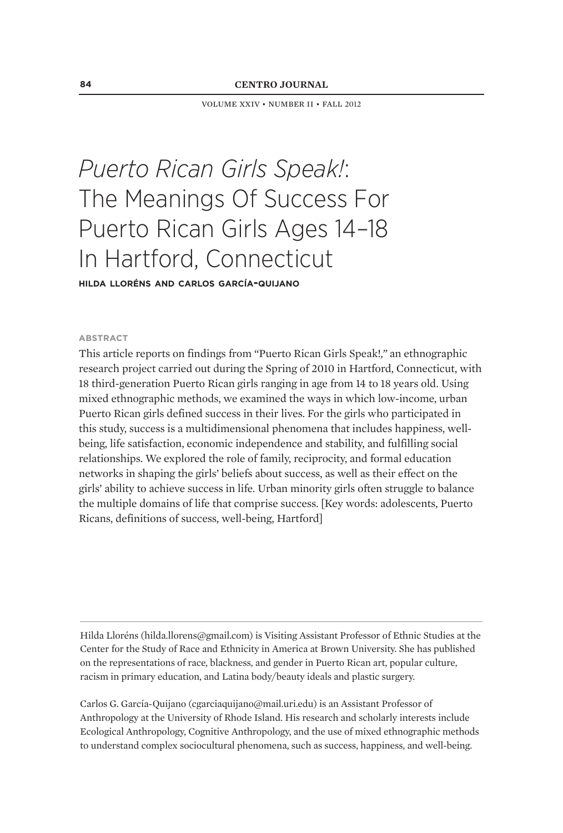volume xxiv • number ii • fall 2012

# *Puerto Rican Girls Speak!*: The Meanings Of Success For Puerto Rican Girls Ages 14–18 In Hartford, Connecticut

**hilda lloréns and carlos garcía-quijano**

#### **abstract**

This article reports on findings from "Puerto Rican Girls Speak!*,"* an ethnographic research project carried out during the Spring of 2010 in Hartford, Connecticut, with 18 third-generation Puerto Rican girls ranging in age from 14 to 18 years old. Using mixed ethnographic methods, we examined the ways in which low-income, urban Puerto Rican girls defined success in their lives. For the girls who participated in this study, success is a multidimensional phenomena that includes happiness, wellbeing, life satisfaction, economic independence and stability, and fulfilling social relationships. We explored the role of family, reciprocity, and formal education networks in shaping the girls' beliefs about success, as well as their effect on the girls' ability to achieve success in life. Urban minority girls often struggle to balance the multiple domains of life that comprise success. [Key words: adolescents, Puerto Ricans, definitions of success, well-being, Hartford]

Hilda Lloréns (hilda.llorens@gmail.com) is Visiting Assistant Professor of Ethnic Studies at the Center for the Study of Race and Ethnicity in America at Brown University. She has published on the representations of race, blackness, and gender in Puerto Rican art, popular culture, racism in primary education, and Latina body/beauty ideals and plastic surgery.

Carlos G. García-Quijano (cgarciaquijano@mail.uri.edu) is an Assistant Professor of Anthropology at the University of Rhode Island. His research and scholarly interests include Ecological Anthropology, Cognitive Anthropology, and the use of mixed ethnographic methods to understand complex sociocultural phenomena, such as success, happiness, and well-being.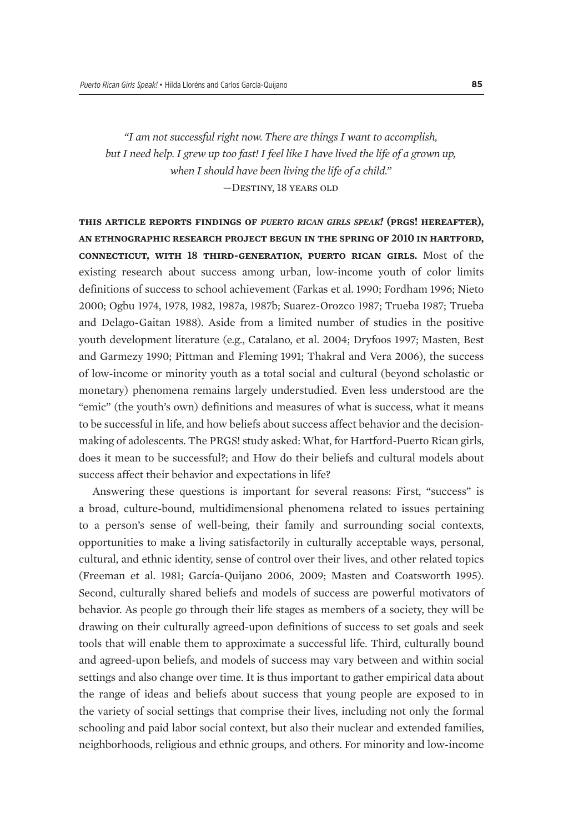*"I am not successful right now. There are things I want to accomplish, but I need help. I grew up too fast! I feel like I have lived the life of a grown up, when I should have been living the life of a child."* 

*—*Destiny, 18 years old

**this article reports findings of** *puerto rican girls speak!* **(prgs! hereafter), an ethnographic research project begun in the spring of 2010 in hartford, connecticut, with 18 third-generation, puerto rican girls.** Most of the existing research about success among urban, low-income youth of color limits definitions of success to school achievement (Farkas et al. 1990; Fordham 1996; Nieto 2000; Ogbu 1974, 1978, 1982, 1987a, 1987b; Suarez-Orozco 1987; Trueba 1987; Trueba and Delago-Gaitan 1988). Aside from a limited number of studies in the positive youth development literature (e.g., Catalano, et al. 2004; Dryfoos 1997; Masten, Best and Garmezy 1990; Pittman and Fleming 1991; Thakral and Vera 2006), the success of low-income or minority youth as a total social and cultural (beyond scholastic or monetary) phenomena remains largely understudied. Even less understood are the "emic" (the youth's own) definitions and measures of what is success, what it means to be successful in life, and how beliefs about success affect behavior and the decisionmaking of adolescents. The PRGS! study asked: What, for Hartford-Puerto Rican girls, does it mean to be successful?; and How do their beliefs and cultural models about success affect their behavior and expectations in life?

Answering these questions is important for several reasons: First, "success" is a broad, culture-bound, multidimensional phenomena related to issues pertaining to a person's sense of well-being, their family and surrounding social contexts, opportunities to make a living satisfactorily in culturally acceptable ways, personal, cultural, and ethnic identity, sense of control over their lives, and other related topics (Freeman et al. 1981; García-Quijano 2006, 2009; Masten and Coatsworth 1995). Second, culturally shared beliefs and models of success are powerful motivators of behavior. As people go through their life stages as members of a society, they will be drawing on their culturally agreed-upon definitions of success to set goals and seek tools that will enable them to approximate a successful life. Third, culturally bound and agreed-upon beliefs, and models of success may vary between and within social settings and also change over time. It is thus important to gather empirical data about the range of ideas and beliefs about success that young people are exposed to in the variety of social settings that comprise their lives, including not only the formal schooling and paid labor social context, but also their nuclear and extended families, neighborhoods, religious and ethnic groups, and others. For minority and low-income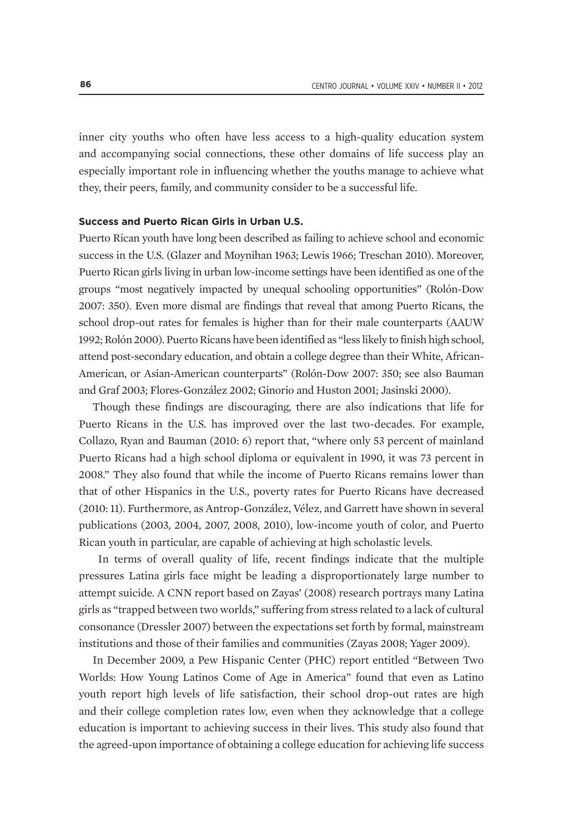inner city youths who often have less access to a high-quality education system and accompanying social connections, these other domains of life success play an especially important role in influencing whether the youths manage to achieve what they, their peers, family, and community consider to be a successful life.

#### **Success and Puerto Rican Girls in Urban U.S.**

Puerto Rican youth have long been described as failing to achieve school and economic success in the U.S. (Glazer and Moynihan 1963; Lewis 1966; Treschan 2010). Moreover, Puerto Rican girls living in urban low-income settings have been identified as one of the groups "most negatively impacted by unequal schooling opportunities" (Rolón-Dow 2007: 350). Even more dismal are findings that reveal that among Puerto Ricans, the school drop-out rates for females is higher than for their male counterparts (AAUW 1992; Rolón 2000). Puerto Ricans have been identified as "less likely to finish high school, attend post-secondary education, and obtain a college degree than their White, African-American, or Asian-American counterparts" (Rolón-Dow 2007: 350; see also Bauman and Graf 2003; Flores-González 2002; Ginorio and Huston 2001; Jasinski 2000).

Though these findings are discouraging, there are also indications that life for Puerto Ricans in the U.S. has improved over the last two-decades. For example, Collazo, Ryan and Bauman (2010: 6) report that, "where only 53 percent of mainland Puerto Ricans had a high school diploma or equivalent in 1990, it was 73 percent in 2008." They also found that while the income of Puerto Ricans remains lower than that of other Hispanics in the U.S., poverty rates for Puerto Ricans have decreased (2010: 11). Furthermore, as Antrop-González, Vélez, and Garrett have shown in several publications (2003, 2004, 2007, 2008, 2010), low-income youth of color, and Puerto Rican youth in particular, are capable of achieving at high scholastic levels.

 In terms of overall quality of life, recent findings indicate that the multiple pressures Latina girls face might be leading a disproportionately large number to attempt suicide. A CNN report based on Zayas' (2008) research portrays many Latina girls as "trapped between two worlds," suffering from stress related to a lack of cultural consonance (Dressler 2007) between the expectations set forth by formal, mainstream institutions and those of their families and communities (Zayas 2008; Yager 2009).

In December 2009, a Pew Hispanic Center (PHC) report entitled "Between Two Worlds: How Young Latinos Come of Age in America" found that even as Latino youth report high levels of life satisfaction, their school drop-out rates are high and their college completion rates low, even when they acknowledge that a college education is important to achieving success in their lives. This study also found that the agreed-upon importance of obtaining a college education for achieving life success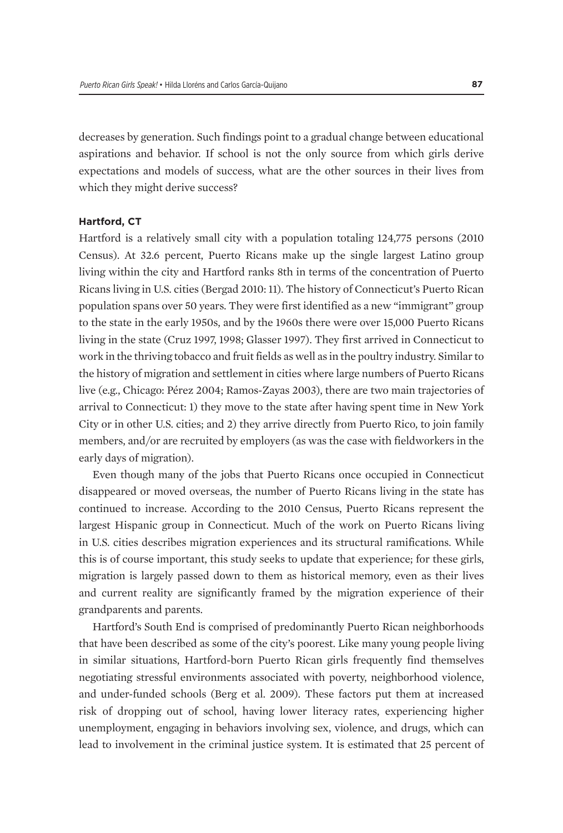decreases by generation. Such findings point to a gradual change between educational aspirations and behavior. If school is not the only source from which girls derive expectations and models of success, what are the other sources in their lives from which they might derive success?

#### **Hartford, CT**

Hartford is a relatively small city with a population totaling 124,775 persons (2010 Census). At 32.6 percent, Puerto Ricans make up the single largest Latino group living within the city and Hartford ranks 8th in terms of the concentration of Puerto Ricans living in U.S. cities (Bergad 2010: 11). The history of Connecticut's Puerto Rican population spans over 50 years. They were first identified as a new "immigrant" group to the state in the early 1950s, and by the 1960s there were over 15,000 Puerto Ricans living in the state (Cruz 1997, 1998; Glasser 1997). They first arrived in Connecticut to work in the thriving tobacco and fruit fields as well as in the poultry industry. Similar to the history of migration and settlement in cities where large numbers of Puerto Ricans live (e.g., Chicago: Pérez 2004; Ramos-Zayas 2003), there are two main trajectories of arrival to Connecticut: 1) they move to the state after having spent time in New York City or in other U.S. cities; and 2) they arrive directly from Puerto Rico, to join family members, and/or are recruited by employers (as was the case with fieldworkers in the early days of migration).

Even though many of the jobs that Puerto Ricans once occupied in Connecticut disappeared or moved overseas, the number of Puerto Ricans living in the state has continued to increase. According to the 2010 Census, Puerto Ricans represent the largest Hispanic group in Connecticut. Much of the work on Puerto Ricans living in U.S. cities describes migration experiences and its structural ramifications. While this is of course important, this study seeks to update that experience; for these girls, migration is largely passed down to them as historical memory, even as their lives and current reality are significantly framed by the migration experience of their grandparents and parents.

Hartford's South End is comprised of predominantly Puerto Rican neighborhoods that have been described as some of the city's poorest. Like many young people living in similar situations, Hartford-born Puerto Rican girls frequently find themselves negotiating stressful environments associated with poverty, neighborhood violence, and under-funded schools (Berg et al. 2009). These factors put them at increased risk of dropping out of school, having lower literacy rates, experiencing higher unemployment, engaging in behaviors involving sex, violence, and drugs, which can lead to involvement in the criminal justice system. It is estimated that 25 percent of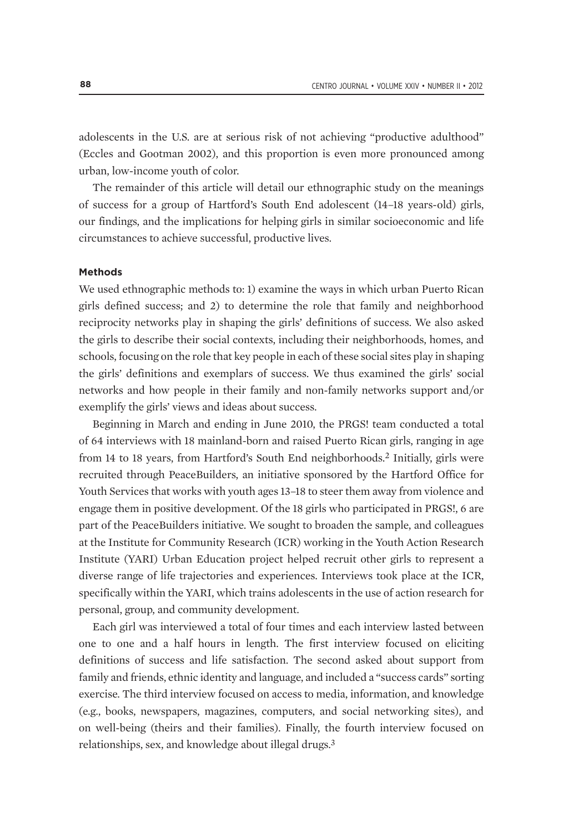adolescents in the U.S. are at serious risk of not achieving "productive adulthood" (Eccles and Gootman 2002), and this proportion is even more pronounced among urban, low-income youth of color.

The remainder of this article will detail our ethnographic study on the meanings of success for a group of Hartford's South End adolescent (14–18 years-old) girls, our findings, and the implications for helping girls in similar socioeconomic and life circumstances to achieve successful, productive lives.

#### **Methods**

We used ethnographic methods to: 1) examine the ways in which urban Puerto Rican girls defined success; and 2) to determine the role that family and neighborhood reciprocity networks play in shaping the girls' definitions of success. We also asked the girls to describe their social contexts, including their neighborhoods, homes, and schools, focusing on the role that key people in each of these social sites play in shaping the girls' definitions and exemplars of success. We thus examined the girls' social networks and how people in their family and non-family networks support and/or exemplify the girls' views and ideas about success.

Beginning in March and ending in June 2010, the PRGS! team conducted a total of 64 interviews with 18 mainland-born and raised Puerto Rican girls, ranging in age from 14 to 18 years, from Hartford's South End neighborhoods.2 Initially, girls were recruited through PeaceBuilders, an initiative sponsored by the Hartford Office for Youth Services that works with youth ages 13–18 to steer them away from violence and engage them in positive development. Of the 18 girls who participated in PRGS!, 6 are part of the PeaceBuilders initiative. We sought to broaden the sample, and colleagues at the Institute for Community Research (ICR) working in the Youth Action Research Institute (YARI) Urban Education project helped recruit other girls to represent a diverse range of life trajectories and experiences. Interviews took place at the ICR, specifically within the YARI, which trains adolescents in the use of action research for personal, group, and community development.

Each girl was interviewed a total of four times and each interview lasted between one to one and a half hours in length. The first interview focused on eliciting definitions of success and life satisfaction. The second asked about support from family and friends, ethnic identity and language, and included a "success cards" sorting exercise. The third interview focused on access to media, information, and knowledge (e.g., books, newspapers, magazines, computers, and social networking sites), and on well-being (theirs and their families). Finally, the fourth interview focused on relationships, sex, and knowledge about illegal drugs.3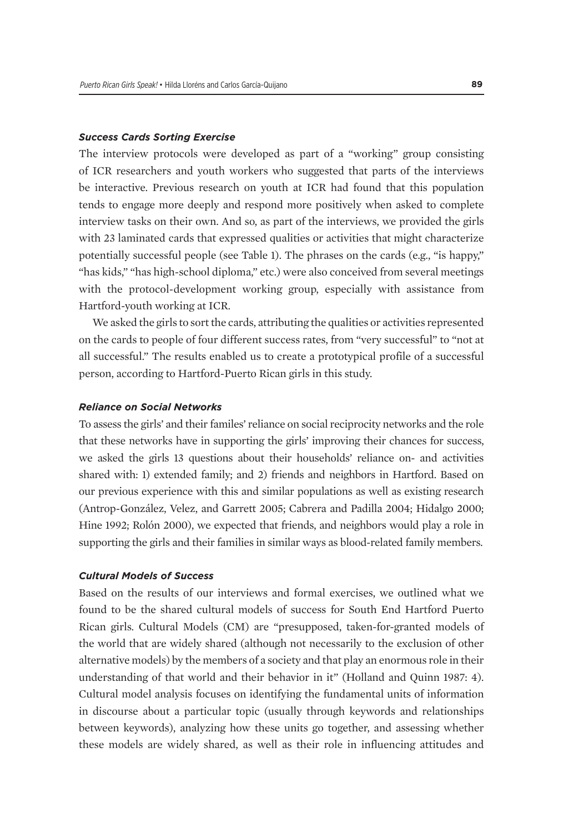#### *Success Cards Sorting Exercise*

The interview protocols were developed as part of a "working" group consisting of ICR researchers and youth workers who suggested that parts of the interviews be interactive. Previous research on youth at ICR had found that this population tends to engage more deeply and respond more positively when asked to complete interview tasks on their own. And so, as part of the interviews, we provided the girls with 23 laminated cards that expressed qualities or activities that might characterize potentially successful people (see Table 1). The phrases on the cards (e.g., "is happy," "has kids," "has high-school diploma," etc.) were also conceived from several meetings with the protocol-development working group, especially with assistance from Hartford-youth working at ICR.

We asked the girls to sort the cards, attributing the qualities or activities represented on the cards to people of four different success rates, from "very successful" to "not at all successful." The results enabled us to create a prototypical profile of a successful person, according to Hartford-Puerto Rican girls in this study.

#### *Reliance on Social Networks*

To assess the girls' and their familes' reliance on social reciprocity networks and the role that these networks have in supporting the girls' improving their chances for success, we asked the girls 13 questions about their households' reliance on- and activities shared with: 1) extended family; and 2) friends and neighbors in Hartford. Based on our previous experience with this and similar populations as well as existing research (Antrop-González, Velez, and Garrett 2005; Cabrera and Padilla 2004; Hidalgo 2000; Hine 1992; Rolón 2000), we expected that friends, and neighbors would play a role in supporting the girls and their families in similar ways as blood-related family members.

#### *Cultural Models of Success*

Based on the results of our interviews and formal exercises, we outlined what we found to be the shared cultural models of success for South End Hartford Puerto Rican girls. Cultural Models (CM) are "presupposed, taken-for-granted models of the world that are widely shared (although not necessarily to the exclusion of other alternative models) by the members of a society and that play an enormous role in their understanding of that world and their behavior in it" (Holland and Quinn 1987: 4). Cultural model analysis focuses on identifying the fundamental units of information in discourse about a particular topic (usually through keywords and relationships between keywords), analyzing how these units go together, and assessing whether these models are widely shared, as well as their role in influencing attitudes and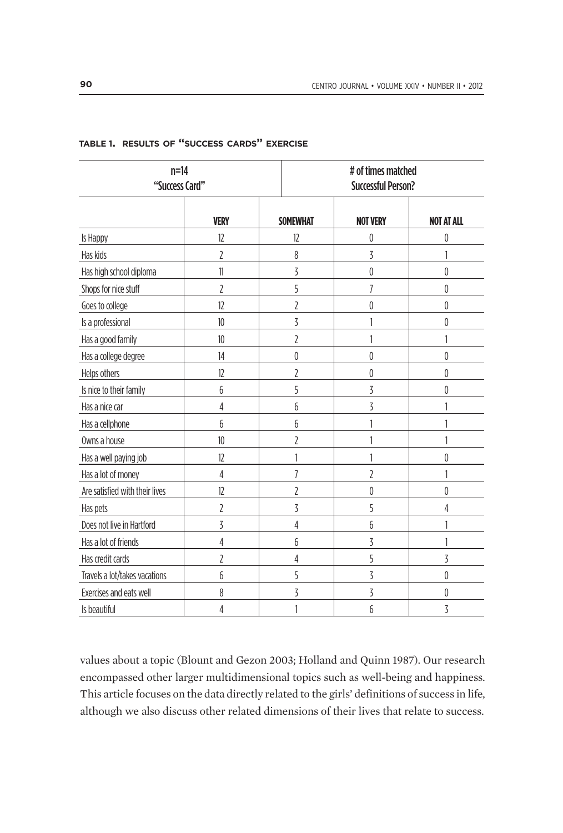| $n=14$<br>"Success Card"       |                | # of times matched<br><b>Successful Person?</b> |                 |                   |  |
|--------------------------------|----------------|-------------------------------------------------|-----------------|-------------------|--|
|                                | <b>VERY</b>    | <b>SOMEWHAT</b>                                 | <b>NOT VERY</b> | <b>NOT AT ALL</b> |  |
| Is Happy                       | 12             | 12                                              | 0               | $\mathbf{0}$      |  |
| Has kids                       | 2              | 8                                               | 3               |                   |  |
| Has high school diploma        | $\mathbf{1}$   | 3                                               | $\pmb{0}$       | $\mathbf{0}$      |  |
| Shops for nice stuff           | $\overline{2}$ | 5                                               | 7               | $\mathbf{0}$      |  |
| Goes to college                | 12             | $\overline{2}$                                  | 0               | $\pmb{0}$         |  |
| Is a professional              | 10             | 3                                               | 1               | $\mathbf{0}$      |  |
| Has a good family              | 10             | $\overline{2}$                                  | 1               |                   |  |
| Has a college degree           | 14             | 0                                               | 0               | $\theta$          |  |
| Helps others                   | 12             | $\overline{2}$                                  | $\mathbf 0$     | $\mathbf{0}$      |  |
| Is nice to their family        | 6              | 5                                               | 3               | $\pmb{0}$         |  |
| Has a nice car                 | 4              | 6                                               | 3               |                   |  |
| Has a cellphone                | 6              | 6                                               | 1               |                   |  |
| Owns a house                   | 10             | $\overline{2}$                                  | 1               |                   |  |
| Has a well paying job          | 12             | $\mathbf{1}$                                    | 1               | $\theta$          |  |
| Has a lot of money             | 4              | $\overline{1}$                                  | 2               |                   |  |
| Are satisfied with their lives | 12             | 2                                               | 0               | $\pmb{0}$         |  |
| Has pets                       | $\overline{2}$ | 3                                               | 5               | 4                 |  |
| Does not live in Hartford      | 3              | 4                                               | 6               | 1                 |  |
| Has a lot of friends           | 4              | 6                                               | 3               | 1                 |  |
| Has credit cards               | 2              | 4                                               | 5               | 3                 |  |
| Travels a lot/takes vacations  | 6              | 5                                               | 3               | $\pmb{0}$         |  |
| Exercises and eats well        | 8              | 3                                               | $\overline{3}$  | $\pmb{0}$         |  |
| Is beautiful                   | 4              | 1                                               | 6               | 3                 |  |

#### **table 1. results of "success cards" exercise**

values about a topic (Blount and Gezon 2003; Holland and Quinn 1987). Our research encompassed other larger multidimensional topics such as well-being and happiness. This article focuses on the data directly related to the girls' definitions of success in life, although we also discuss other related dimensions of their lives that relate to success.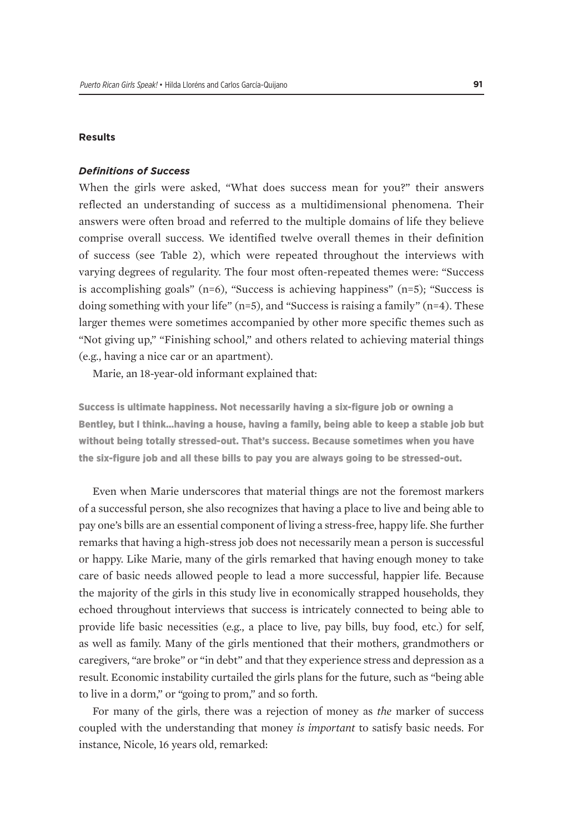#### **Results**

#### *Definitions of Success*

When the girls were asked, "What does success mean for you?" their answers reflected an understanding of success as a multidimensional phenomena. Their answers were often broad and referred to the multiple domains of life they believe comprise overall success. We identified twelve overall themes in their definition of success (see Table 2), which were repeated throughout the interviews with varying degrees of regularity. The four most often-repeated themes were: "Success is accomplishing goals"  $(n=6)$ , "Success is achieving happiness"  $(n=5)$ ; "Success is doing something with your life"  $(n=5)$ , and "Success is raising a family"  $(n=4)$ . These larger themes were sometimes accompanied by other more specific themes such as "Not giving up," "Finishing school," and others related to achieving material things (e.g., having a nice car or an apartment).

Marie, an 18-year-old informant explained that:

Success is ultimate happiness. Not necessarily having a six-figure job or owning a Bentley, but I think…having a house, having a family, being able to keep a stable job but without being totally stressed-out. That's success. Because sometimes when you have the six-figure job and all these bills to pay you are always going to be stressed-out.

Even when Marie underscores that material things are not the foremost markers of a successful person, she also recognizes that having a place to live and being able to pay one's bills are an essential component of living a stress-free, happy life. She further remarks that having a high-stress job does not necessarily mean a person is successful or happy. Like Marie, many of the girls remarked that having enough money to take care of basic needs allowed people to lead a more successful, happier life. Because the majority of the girls in this study live in economically strapped households, they echoed throughout interviews that success is intricately connected to being able to provide life basic necessities (e.g., a place to live, pay bills, buy food, etc.) for self, as well as family. Many of the girls mentioned that their mothers, grandmothers or caregivers, "are broke" or "in debt" and that they experience stress and depression as a result. Economic instability curtailed the girls plans for the future, such as "being able to live in a dorm," or "going to prom," and so forth.

For many of the girls, there was a rejection of money as *the* marker of success coupled with the understanding that money *is important* to satisfy basic needs. For instance, Nicole, 16 years old, remarked: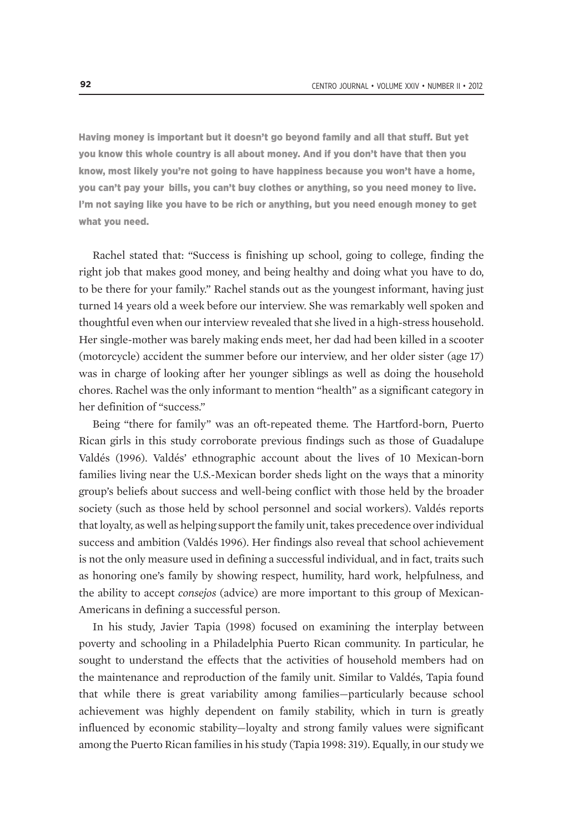Having money is important but it doesn't go beyond family and all that stuff. But yet you know this whole country is all about money. And if you don't have that then you know, most likely you're not going to have happiness because you won't have a home, you can't pay your bills, you can't buy clothes or anything, so you need money to live. I'm not saying like you have to be rich or anything, but you need enough money to get what you need.

Rachel stated that: "Success is finishing up school, going to college, finding the right job that makes good money, and being healthy and doing what you have to do, to be there for your family." Rachel stands out as the youngest informant, having just turned 14 years old a week before our interview. She was remarkably well spoken and thoughtful even when our interview revealed that she lived in a high-stress household. Her single-mother was barely making ends meet, her dad had been killed in a scooter (motorcycle) accident the summer before our interview, and her older sister (age 17) was in charge of looking after her younger siblings as well as doing the household chores. Rachel was the only informant to mention "health" as a significant category in her definition of "success."

Being "there for family" was an oft-repeated theme. The Hartford-born, Puerto Rican girls in this study corroborate previous findings such as those of Guadalupe Valdés (1996). Valdés' ethnographic account about the lives of 10 Mexican-born families living near the U.S.-Mexican border sheds light on the ways that a minority group's beliefs about success and well-being conflict with those held by the broader society (such as those held by school personnel and social workers). Valdés reports that loyalty, as well as helping support the family unit, takes precedence over individual success and ambition (Valdés 1996). Her findings also reveal that school achievement is not the only measure used in defining a successful individual, and in fact, traits such as honoring one's family by showing respect, humility, hard work, helpfulness, and the ability to accept *consejos* (advice) are more important to this group of Mexican-Americans in defining a successful person.

In his study, Javier Tapia (1998) focused on examining the interplay between poverty and schooling in a Philadelphia Puerto Rican community. In particular, he sought to understand the effects that the activities of household members had on the maintenance and reproduction of the family unit. Similar to Valdés, Tapia found that while there is great variability among families—particularly because school achievement was highly dependent on family stability, which in turn is greatly influenced by economic stability—loyalty and strong family values were significant among the Puerto Rican families in his study (Tapia 1998: 319). Equally, in our study we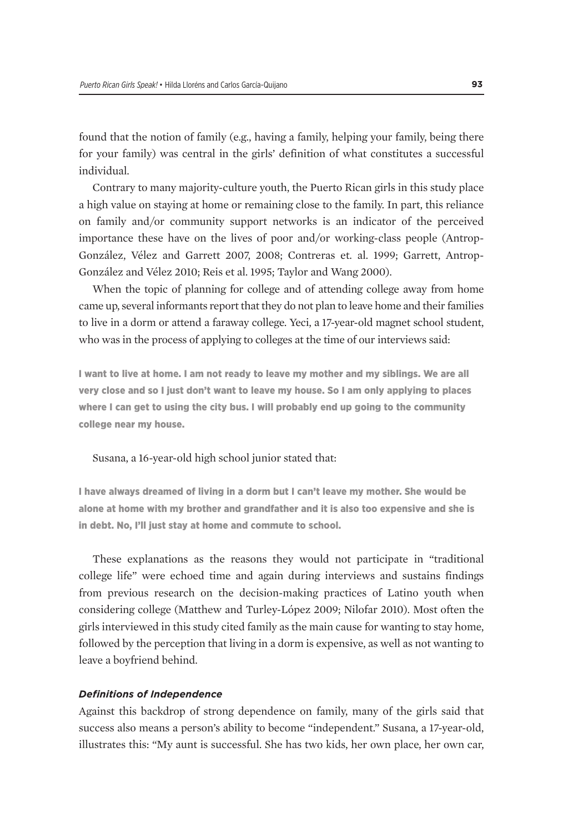found that the notion of family (e.g., having a family, helping your family, being there for your family) was central in the girls' definition of what constitutes a successful individual.

Contrary to many majority-culture youth, the Puerto Rican girls in this study place a high value on staying at home or remaining close to the family. In part, this reliance on family and/or community support networks is an indicator of the perceived importance these have on the lives of poor and/or working-class people (Antrop-González, Vélez and Garrett 2007, 2008; Contreras et. al. 1999; Garrett, Antrop-González and Vélez 2010; Reis et al. 1995; Taylor and Wang 2000).

When the topic of planning for college and of attending college away from home came up, several informants report that they do not plan to leave home and their families to live in a dorm or attend a faraway college. Yeci, a 17-year-old magnet school student, who was in the process of applying to colleges at the time of our interviews said:

I want to live at home. I am not ready to leave my mother and my siblings. We are all very close and so I just don't want to leave my house. So I am only applying to places where I can get to using the city bus. I will probably end up going to the community college near my house.

Susana, a 16-year-old high school junior stated that:

I have always dreamed of living in a dorm but I can't leave my mother. She would be alone at home with my brother and grandfather and it is also too expensive and she is in debt. No, I'll just stay at home and commute to school.

These explanations as the reasons they would not participate in "traditional college life" were echoed time and again during interviews and sustains findings from previous research on the decision-making practices of Latino youth when considering college (Matthew and Turley-López 2009; Nilofar 2010). Most often the girls interviewed in this study cited family as the main cause for wanting to stay home, followed by the perception that living in a dorm is expensive, as well as not wanting to leave a boyfriend behind.

#### *Definitions of Independence*

Against this backdrop of strong dependence on family, many of the girls said that success also means a person's ability to become "independent." Susana, a 17-year-old, illustrates this: "My aunt is successful. She has two kids, her own place, her own car,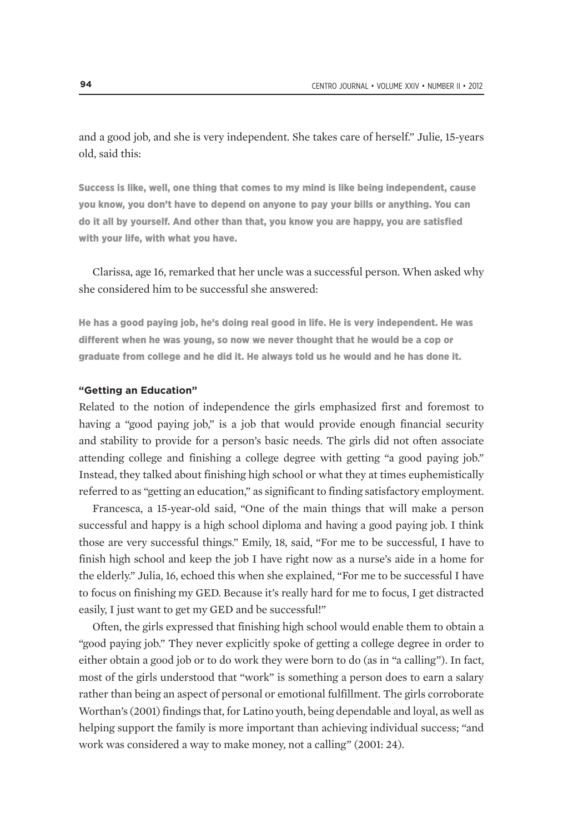and a good job, and she is very independent. She takes care of herself." Julie, 15-years old, said this:

Success is like, well, one thing that comes to my mind is like being independent, cause you know, you don't have to depend on anyone to pay your bills or anything. You can do it all by yourself. And other than that, you know you are happy, you are satisfied with your life, with what you have.

Clarissa, age 16, remarked that her uncle was a successful person. When asked why she considered him to be successful she answered:

He has a good paying job, he's doing real good in life. He is very independent. He was different when he was young, so now we never thought that he would be a cop or graduate from college and he did it. He always told us he would and he has done it.

#### **"Getting an Education"**

Related to the notion of independence the girls emphasized first and foremost to having a "good paying job," is a job that would provide enough financial security and stability to provide for a person's basic needs. The girls did not often associate attending college and finishing a college degree with getting "a good paying job." Instead, they talked about finishing high school or what they at times euphemistically referred to as "getting an education," as significant to finding satisfactory employment.

Francesca, a 15-year-old said, "One of the main things that will make a person successful and happy is a high school diploma and having a good paying job. I think those are very successful things." Emily, 18, said, "For me to be successful, I have to finish high school and keep the job I have right now as a nurse's aide in a home for the elderly." Julia, 16, echoed this when she explained, "For me to be successful I have to focus on finishing my GED. Because it's really hard for me to focus, I get distracted easily, I just want to get my GED and be successful!"

Often, the girls expressed that finishing high school would enable them to obtain a "good paying job." They never explicitly spoke of getting a college degree in order to either obtain a good job or to do work they were born to do (as in "a calling"). In fact, most of the girls understood that "work" is something a person does to earn a salary rather than being an aspect of personal or emotional fulfillment. The girls corroborate Worthan's (2001) findings that, for Latino youth, being dependable and loyal, as well as helping support the family is more important than achieving individual success; "and work was considered a way to make money, not a calling" (2001: 24).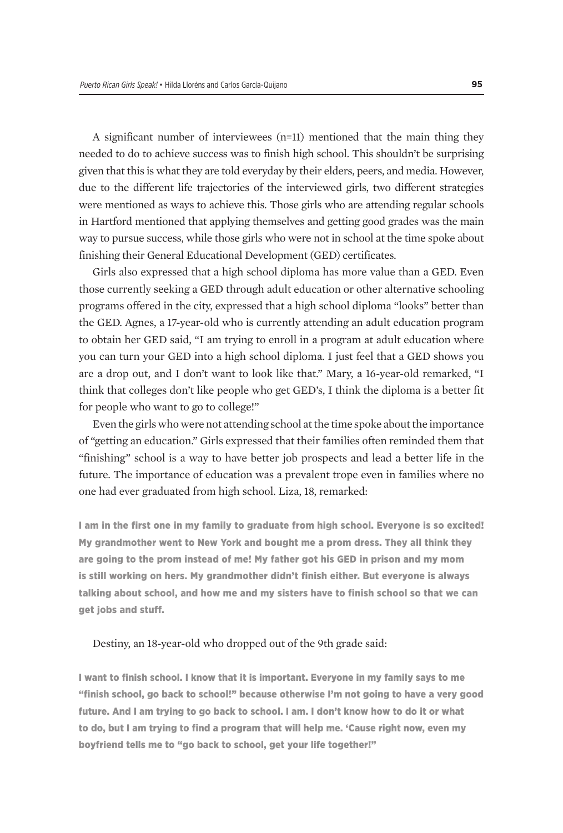A significant number of interviewees (n=11) mentioned that the main thing they needed to do to achieve success was to finish high school. This shouldn't be surprising given that this is what they are told everyday by their elders, peers, and media. However, due to the different life trajectories of the interviewed girls, two different strategies were mentioned as ways to achieve this. Those girls who are attending regular schools in Hartford mentioned that applying themselves and getting good grades was the main way to pursue success, while those girls who were not in school at the time spoke about finishing their General Educational Development (GED) certificates.

Girls also expressed that a high school diploma has more value than a GED. Even those currently seeking a GED through adult education or other alternative schooling programs offered in the city, expressed that a high school diploma "looks" better than the GED. Agnes, a 17-year-old who is currently attending an adult education program to obtain her GED said, "I am trying to enroll in a program at adult education where you can turn your GED into a high school diploma. I just feel that a GED shows you are a drop out, and I don't want to look like that." Mary, a 16-year-old remarked, "I think that colleges don't like people who get GED's, I think the diploma is a better fit for people who want to go to college!"

Even the girls who were not attending school at the time spoke about the importance of "getting an education." Girls expressed that their families often reminded them that "finishing" school is a way to have better job prospects and lead a better life in the future. The importance of education was a prevalent trope even in families where no one had ever graduated from high school. Liza, 18, remarked:

I am in the first one in my family to graduate from high school. Everyone is so excited! My grandmother went to New York and bought me a prom dress. They all think they are going to the prom instead of me! My father got his GED in prison and my mom is still working on hers. My grandmother didn't finish either. But everyone is always talking about school, and how me and my sisters have to finish school so that we can get jobs and stuff.

#### Destiny, an 18-year-old who dropped out of the 9th grade said:

I want to finish school. I know that it is important. Everyone in my family says to me "finish school, go back to school!" because otherwise I'm not going to have a very good future. And I am trying to go back to school. I am. I don't know how to do it or what to do, but I am trying to find a program that will help me. 'Cause right now, even my boyfriend tells me to "go back to school, get your life together!"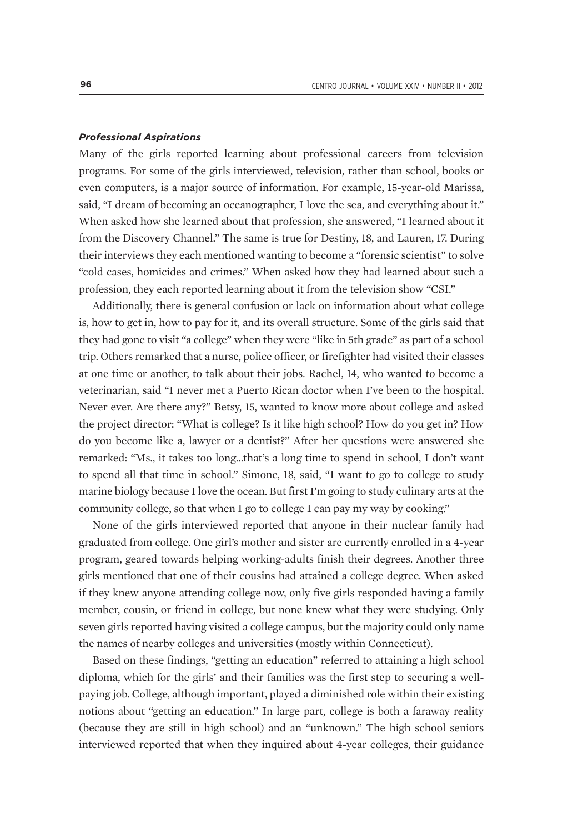#### *Professional Aspirations*

Many of the girls reported learning about professional careers from television programs. For some of the girls interviewed, television, rather than school, books or even computers, is a major source of information. For example, 15-year-old Marissa, said, "I dream of becoming an oceanographer, I love the sea, and everything about it." When asked how she learned about that profession, she answered, "I learned about it from the Discovery Channel." The same is true for Destiny, 18, and Lauren, 17. During their interviews they each mentioned wanting to become a "forensic scientist" to solve "cold cases, homicides and crimes." When asked how they had learned about such a profession, they each reported learning about it from the television show "CSI."

Additionally, there is general confusion or lack on information about what college is, how to get in, how to pay for it, and its overall structure. Some of the girls said that they had gone to visit "a college" when they were "like in 5th grade" as part of a school trip. Others remarked that a nurse, police officer, or firefighter had visited their classes at one time or another, to talk about their jobs. Rachel, 14, who wanted to become a veterinarian, said "I never met a Puerto Rican doctor when I've been to the hospital. Never ever. Are there any?" Betsy, 15, wanted to know more about college and asked the project director: "What is college? Is it like high school? How do you get in? How do you become like a, lawyer or a dentist?" After her questions were answered she remarked: "Ms., it takes too long…that's a long time to spend in school, I don't want to spend all that time in school." Simone, 18, said, "I want to go to college to study marine biology because I love the ocean. But first I'm going to study culinary arts at the community college, so that when I go to college I can pay my way by cooking."

None of the girls interviewed reported that anyone in their nuclear family had graduated from college. One girl's mother and sister are currently enrolled in a 4-year program, geared towards helping working-adults finish their degrees. Another three girls mentioned that one of their cousins had attained a college degree. When asked if they knew anyone attending college now, only five girls responded having a family member, cousin, or friend in college, but none knew what they were studying. Only seven girls reported having visited a college campus, but the majority could only name the names of nearby colleges and universities (mostly within Connecticut).

Based on these findings, "getting an education" referred to attaining a high school diploma, which for the girls' and their families was the first step to securing a wellpaying job. College, although important, played a diminished role within their existing notions about "getting an education." In large part, college is both a faraway reality (because they are still in high school) and an "unknown." The high school seniors interviewed reported that when they inquired about 4-year colleges, their guidance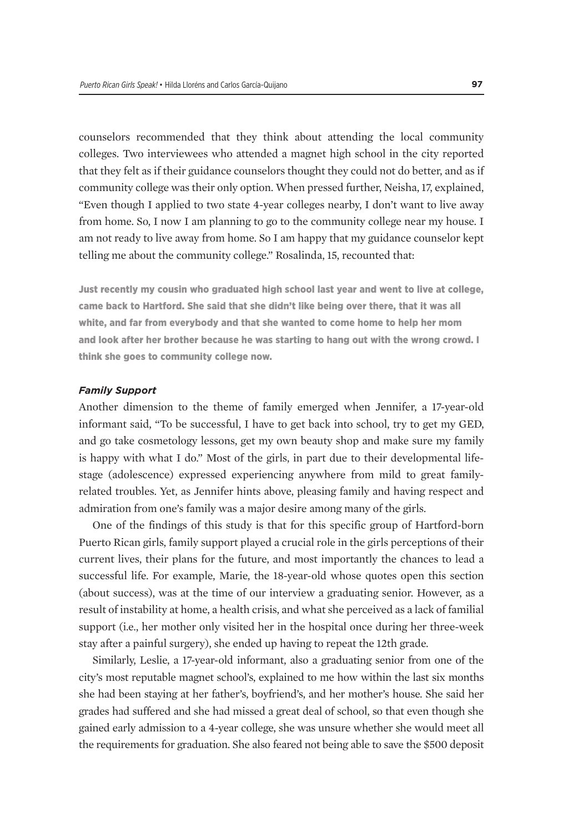counselors recommended that they think about attending the local community colleges. Two interviewees who attended a magnet high school in the city reported that they felt as if their guidance counselors thought they could not do better, and as if community college was their only option. When pressed further, Neisha, 17, explained, "Even though I applied to two state 4-year colleges nearby, I don't want to live away from home. So, I now I am planning to go to the community college near my house. I am not ready to live away from home. So I am happy that my guidance counselor kept telling me about the community college." Rosalinda, 15, recounted that:

Just recently my cousin who graduated high school last year and went to live at college, came back to Hartford. She said that she didn't like being over there, that it was all white, and far from everybody and that she wanted to come home to help her mom and look after her brother because he was starting to hang out with the wrong crowd. I think she goes to community college now.

#### *Family Support*

Another dimension to the theme of family emerged when Jennifer, a 17-year-old informant said, "To be successful, I have to get back into school, try to get my GED, and go take cosmetology lessons, get my own beauty shop and make sure my family is happy with what I do." Most of the girls, in part due to their developmental lifestage (adolescence) expressed experiencing anywhere from mild to great familyrelated troubles. Yet, as Jennifer hints above, pleasing family and having respect and admiration from one's family was a major desire among many of the girls.

One of the findings of this study is that for this specific group of Hartford-born Puerto Rican girls, family support played a crucial role in the girls perceptions of their current lives, their plans for the future, and most importantly the chances to lead a successful life. For example, Marie, the 18-year-old whose quotes open this section (about success), was at the time of our interview a graduating senior. However, as a result of instability at home, a health crisis, and what she perceived as a lack of familial support (i.e., her mother only visited her in the hospital once during her three-week stay after a painful surgery), she ended up having to repeat the 12th grade.

Similarly, Leslie, a 17-year-old informant, also a graduating senior from one of the city's most reputable magnet school's, explained to me how within the last six months she had been staying at her father's, boyfriend's, and her mother's house. She said her grades had suffered and she had missed a great deal of school, so that even though she gained early admission to a 4-year college, she was unsure whether she would meet all the requirements for graduation. She also feared not being able to save the \$500 deposit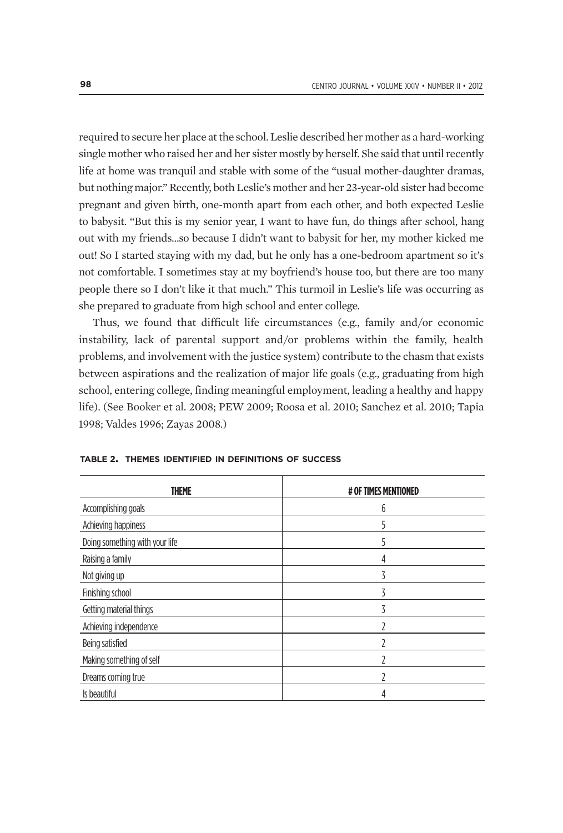required to secure her place at the school. Leslie described her mother as a hard-working single mother who raised her and her sister mostly by herself. She said that until recently life at home was tranquil and stable with some of the "usual mother-daughter dramas, but nothing major." Recently, both Leslie's mother and her 23-year-old sister had become pregnant and given birth, one-month apart from each other, and both expected Leslie to babysit. "But this is my senior year, I want to have fun, do things after school, hang out with my friends…so because I didn't want to babysit for her, my mother kicked me out! So I started staying with my dad, but he only has a one-bedroom apartment so it's not comfortable. I sometimes stay at my boyfriend's house too, but there are too many people there so I don't like it that much." This turmoil in Leslie's life was occurring as she prepared to graduate from high school and enter college.

Thus, we found that difficult life circumstances (e.g., family and/or economic instability, lack of parental support and/or problems within the family, health problems, and involvement with the justice system) contribute to the chasm that exists between aspirations and the realization of major life goals (e.g., graduating from high school, entering college, finding meaningful employment, leading a healthy and happy life). (See Booker et al. 2008; PEW 2009; Roosa et al. 2010; Sanchez et al. 2010; Tapia 1998; Valdes 1996; Zayas 2008.)

| <b>THEME</b>                   | # OF TIMES MENTIONED |
|--------------------------------|----------------------|
| Accomplishing goals            | 6                    |
| Achieving happiness            | 5                    |
| Doing something with your life |                      |
| Raising a family               | 4                    |
| Not giving up                  | ζ                    |
| Finishing school               | 3                    |
| Getting material things        | 3                    |
| Achieving independence         |                      |
| Being satisfied                |                      |
| Making something of self       |                      |
| Dreams coming true             |                      |
| Is beautiful                   |                      |

|  |  |  |  |  | TABLE 2. THEMES IDENTIFIED IN DEFINITIONS OF SUCCESS |  |  |
|--|--|--|--|--|------------------------------------------------------|--|--|
|--|--|--|--|--|------------------------------------------------------|--|--|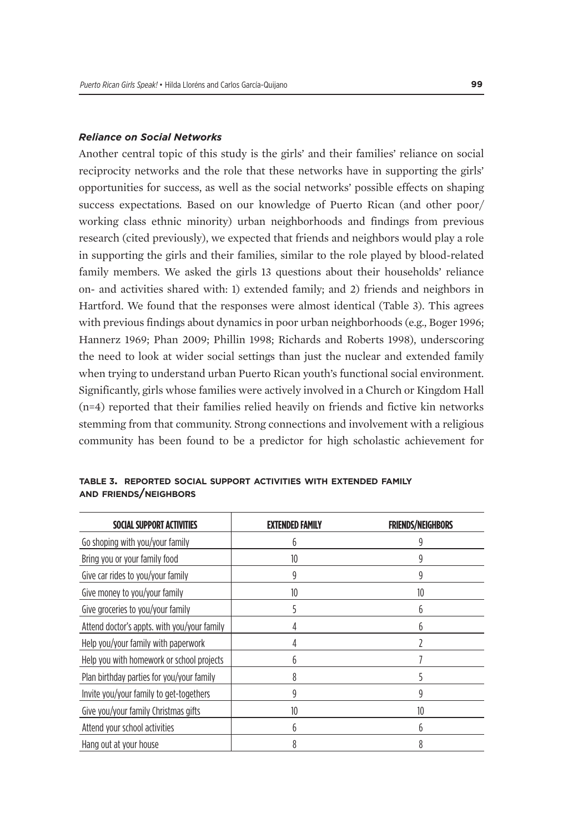#### *Reliance on Social Networks*

Another central topic of this study is the girls' and their families' reliance on social reciprocity networks and the role that these networks have in supporting the girls' opportunities for success, as well as the social networks' possible effects on shaping success expectations. Based on our knowledge of Puerto Rican (and other poor/ working class ethnic minority) urban neighborhoods and findings from previous research (cited previously), we expected that friends and neighbors would play a role in supporting the girls and their families, similar to the role played by blood-related family members. We asked the girls 13 questions about their households' reliance on- and activities shared with: 1) extended family; and 2) friends and neighbors in Hartford. We found that the responses were almost identical (Table 3). This agrees with previous findings about dynamics in poor urban neighborhoods (e.g., Boger 1996; Hannerz 1969; Phan 2009; Phillin 1998; Richards and Roberts 1998), underscoring the need to look at wider social settings than just the nuclear and extended family when trying to understand urban Puerto Rican youth's functional social environment. Significantly, girls whose families were actively involved in a Church or Kingdom Hall (n=4) reported that their families relied heavily on friends and fictive kin networks stemming from that community. Strong connections and involvement with a religious community has been found to be a predictor for high scholastic achievement for

| TABLE 3. REPORTED SOCIAL SUPPORT ACTIVITIES WITH EXTENDED FAMILY |  |  |  |
|------------------------------------------------------------------|--|--|--|
| <b>AND FRIENDS/NEIGHBORS</b>                                     |  |  |  |

| SOCIAL SUPPORT ACTIVITIES                   | FNDFD FAMILY | <b>FRIENDS/NEIGHBORS</b> |  |
|---------------------------------------------|--------------|--------------------------|--|
| Go shoping with you/your family             | 6            | g                        |  |
| Bring you or your family food               | 10           |                          |  |
| Give car rides to you/your family           | 9            | g                        |  |
| Give money to you/your family               | 10           | 10                       |  |
| Give groceries to you/your family           |              | h                        |  |
| Attend doctor's appts, with you/your family |              | h                        |  |
| Help you/your family with paperwork         | 4            |                          |  |
| Help you with homework or school projects   |              |                          |  |
| Plan birthday parties for you/your family   | 8            |                          |  |
| Invite you/your family to get-togethers     | g            | g                        |  |
| Give you/your family Christmas gifts        | 10           | 10                       |  |
| Attend your school activities               | 6            | h                        |  |
| Hang out at your house                      |              |                          |  |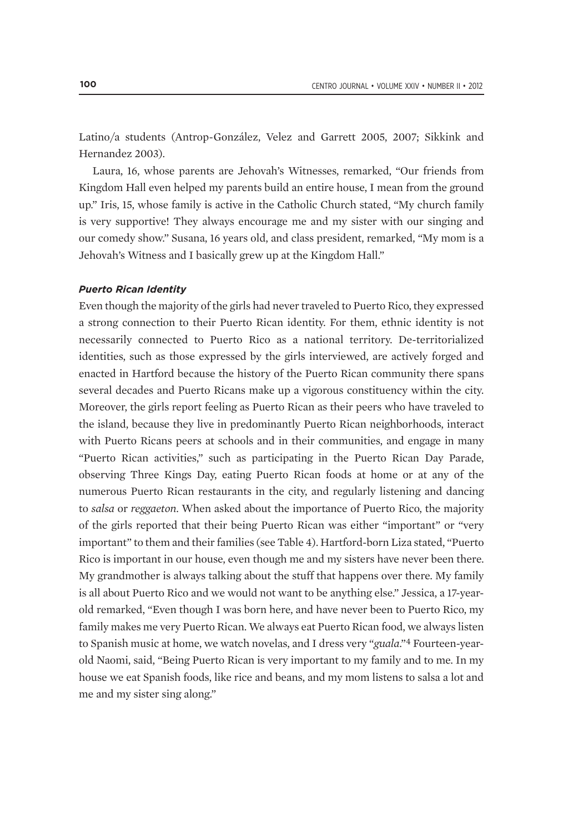Latino/a students (Antrop-González, Velez and Garrett 2005, 2007; Sikkink and Hernandez 2003).

Laura, 16, whose parents are Jehovah's Witnesses, remarked, "Our friends from Kingdom Hall even helped my parents build an entire house, I mean from the ground up." Iris, 15, whose family is active in the Catholic Church stated, "My church family is very supportive! They always encourage me and my sister with our singing and our comedy show." Susana, 16 years old, and class president, remarked, "My mom is a Jehovah's Witness and I basically grew up at the Kingdom Hall."

#### *Puerto Rican Identity*

Even though the majority of the girls had never traveled to Puerto Rico, they expressed a strong connection to their Puerto Rican identity. For them, ethnic identity is not necessarily connected to Puerto Rico as a national territory. De-territorialized identities, such as those expressed by the girls interviewed, are actively forged and enacted in Hartford because the history of the Puerto Rican community there spans several decades and Puerto Ricans make up a vigorous constituency within the city. Moreover, the girls report feeling as Puerto Rican as their peers who have traveled to the island, because they live in predominantly Puerto Rican neighborhoods, interact with Puerto Ricans peers at schools and in their communities, and engage in many "Puerto Rican activities," such as participating in the Puerto Rican Day Parade, observing Three Kings Day, eating Puerto Rican foods at home or at any of the numerous Puerto Rican restaurants in the city, and regularly listening and dancing to *salsa* or *reggaeton*. When asked about the importance of Puerto Rico, the majority of the girls reported that their being Puerto Rican was either "important" or "very important" to them and their families (see Table 4). Hartford-born Liza stated, "Puerto Rico is important in our house, even though me and my sisters have never been there. My grandmother is always talking about the stuff that happens over there. My family is all about Puerto Rico and we would not want to be anything else." Jessica, a 17-yearold remarked, "Even though I was born here, and have never been to Puerto Rico, my family makes me very Puerto Rican. We always eat Puerto Rican food, we always listen to Spanish music at home, we watch novelas, and I dress very "*guala*."4 Fourteen-yearold Naomi, said, "Being Puerto Rican is very important to my family and to me. In my house we eat Spanish foods, like rice and beans, and my mom listens to salsa a lot and me and my sister sing along."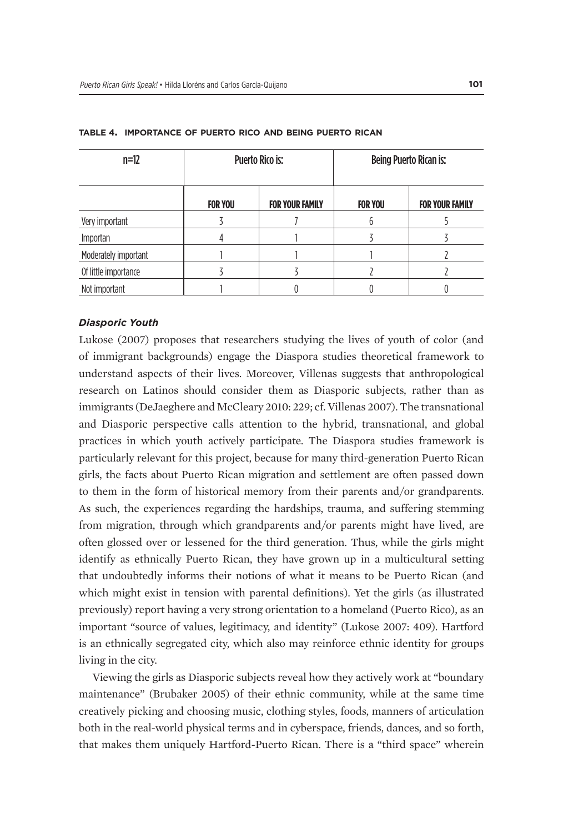| $n=12$               |                | Puerto Rico is:        | Being Puerto Rican is: |                        |  |
|----------------------|----------------|------------------------|------------------------|------------------------|--|
|                      | <b>FOR YOU</b> | <b>FOR YOUR FAMILY</b> | <b>FOR YOU</b>         | <b>FOR YOUR FAMILY</b> |  |
| Very important       |                |                        | n                      |                        |  |
| Importan             |                |                        |                        |                        |  |
| Moderately important |                |                        |                        |                        |  |
| Of little importance |                |                        |                        |                        |  |
| Not important        |                |                        |                        |                        |  |

#### **table 4. importance of puerto rico and being puerto rican**

#### *Diasporic Youth*

Lukose (2007) proposes that researchers studying the lives of youth of color (and of immigrant backgrounds) engage the Diaspora studies theoretical framework to understand aspects of their lives. Moreover, Villenas suggests that anthropological research on Latinos should consider them as Diasporic subjects, rather than as immigrants (DeJaeghere and McCleary 2010: 229; cf. Villenas 2007). The transnational and Diasporic perspective calls attention to the hybrid, transnational, and global practices in which youth actively participate. The Diaspora studies framework is particularly relevant for this project, because for many third-generation Puerto Rican girls, the facts about Puerto Rican migration and settlement are often passed down to them in the form of historical memory from their parents and/or grandparents. As such, the experiences regarding the hardships, trauma, and suffering stemming from migration, through which grandparents and/or parents might have lived, are often glossed over or lessened for the third generation. Thus, while the girls might identify as ethnically Puerto Rican, they have grown up in a multicultural setting that undoubtedly informs their notions of what it means to be Puerto Rican (and which might exist in tension with parental definitions). Yet the girls (as illustrated previously) report having a very strong orientation to a homeland (Puerto Rico), as an important "source of values, legitimacy, and identity" (Lukose 2007: 409). Hartford is an ethnically segregated city, which also may reinforce ethnic identity for groups living in the city.

Viewing the girls as Diasporic subjects reveal how they actively work at "boundary maintenance" (Brubaker 2005) of their ethnic community, while at the same time creatively picking and choosing music, clothing styles, foods, manners of articulation both in the real-world physical terms and in cyberspace, friends, dances, and so forth, that makes them uniquely Hartford-Puerto Rican. There is a "third space" wherein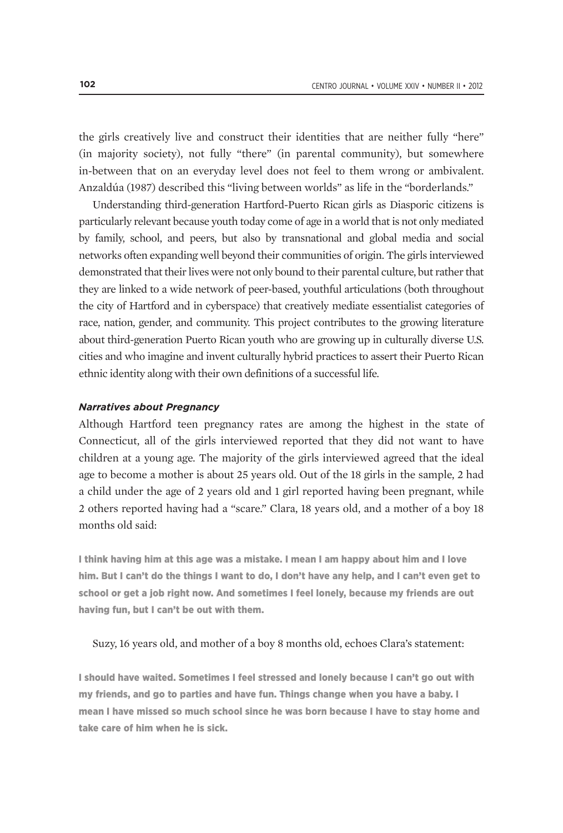the girls creatively live and construct their identities that are neither fully "here" (in majority society), not fully "there" (in parental community), but somewhere in-between that on an everyday level does not feel to them wrong or ambivalent. Anzaldúa (1987) described this "living between worlds" as life in the "borderlands."

Understanding third-generation Hartford-Puerto Rican girls as Diasporic citizens is particularly relevant because youth today come of age in a world that is not only mediated by family, school, and peers, but also by transnational and global media and social networks often expanding well beyond their communities of origin. The girls interviewed demonstrated that their lives were not only bound to their parental culture, but rather that they are linked to a wide network of peer-based, youthful articulations (both throughout the city of Hartford and in cyberspace) that creatively mediate essentialist categories of race, nation, gender, and community. This project contributes to the growing literature about third-generation Puerto Rican youth who are growing up in culturally diverse U.S. cities and who imagine and invent culturally hybrid practices to assert their Puerto Rican ethnic identity along with their own definitions of a successful life.

#### *Narratives about Pregnancy*

Although Hartford teen pregnancy rates are among the highest in the state of Connecticut, all of the girls interviewed reported that they did not want to have children at a young age. The majority of the girls interviewed agreed that the ideal age to become a mother is about 25 years old. Out of the 18 girls in the sample, 2 had a child under the age of 2 years old and 1 girl reported having been pregnant, while 2 others reported having had a "scare." Clara, 18 years old, and a mother of a boy 18 months old said:

I think having him at this age was a mistake. I mean I am happy about him and I love him. But I can't do the things I want to do, I don't have any help, and I can't even get to school or get a job right now. And sometimes I feel lonely, because my friends are out having fun, but I can't be out with them.

#### Suzy, 16 years old, and mother of a boy 8 months old, echoes Clara's statement:

I should have waited. Sometimes I feel stressed and lonely because I can't go out with my friends, and go to parties and have fun. Things change when you have a baby. I mean I have missed so much school since he was born because I have to stay home and take care of him when he is sick.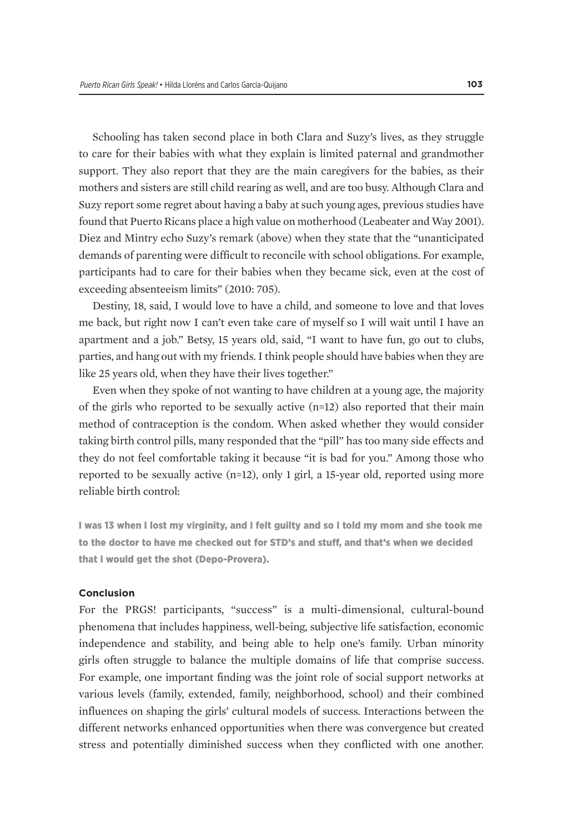Schooling has taken second place in both Clara and Suzy's lives, as they struggle to care for their babies with what they explain is limited paternal and grandmother support. They also report that they are the main caregivers for the babies, as their mothers and sisters are still child rearing as well, and are too busy. Although Clara and Suzy report some regret about having a baby at such young ages, previous studies have found that Puerto Ricans place a high value on motherhood (Leabeater and Way 2001). Diez and Mintry echo Suzy's remark (above) when they state that the "unanticipated demands of parenting were difficult to reconcile with school obligations. For example, participants had to care for their babies when they became sick, even at the cost of exceeding absenteeism limits" (2010: 705).

Destiny, 18, said, I would love to have a child, and someone to love and that loves me back, but right now I can't even take care of myself so I will wait until I have an apartment and a job." Betsy, 15 years old, said, "I want to have fun, go out to clubs, parties, and hang out with my friends. I think people should have babies when they are like 25 years old, when they have their lives together."

Even when they spoke of not wanting to have children at a young age, the majority of the girls who reported to be sexually active (n=12) also reported that their main method of contraception is the condom. When asked whether they would consider taking birth control pills, many responded that the "pill" has too many side effects and they do not feel comfortable taking it because "it is bad for you." Among those who reported to be sexually active (n=12), only 1 girl, a 15-year old, reported using more reliable birth control:

I was 13 when I lost my virginity, and I felt guilty and so I told my mom and she took me to the doctor to have me checked out for STD's and stuff, and that's when we decided that I would get the shot (Depo-Provera).

#### **Conclusion**

For the PRGS! participants, "success" is a multi-dimensional, cultural-bound phenomena that includes happiness, well-being, subjective life satisfaction, economic independence and stability, and being able to help one's family. Urban minority girls often struggle to balance the multiple domains of life that comprise success. For example, one important finding was the joint role of social support networks at various levels (family, extended, family, neighborhood, school) and their combined influences on shaping the girls' cultural models of success. Interactions between the different networks enhanced opportunities when there was convergence but created stress and potentially diminished success when they conflicted with one another.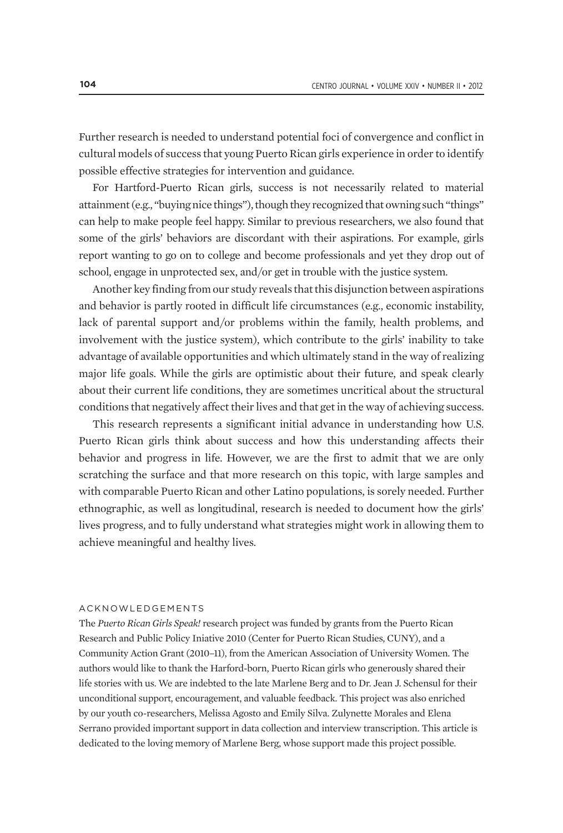Further research is needed to understand potential foci of convergence and conflict in cultural models of success that young Puerto Rican girls experience in order to identify possible effective strategies for intervention and guidance.

For Hartford-Puerto Rican girls, success is not necessarily related to material attainment (e.g., "buying nice things"), though they recognized that owning such "things" can help to make people feel happy. Similar to previous researchers, we also found that some of the girls' behaviors are discordant with their aspirations. For example, girls report wanting to go on to college and become professionals and yet they drop out of school, engage in unprotected sex, and/or get in trouble with the justice system.

Another key finding from our study reveals that this disjunction between aspirations and behavior is partly rooted in difficult life circumstances (e.g., economic instability, lack of parental support and/or problems within the family, health problems, and involvement with the justice system), which contribute to the girls' inability to take advantage of available opportunities and which ultimately stand in the way of realizing major life goals. While the girls are optimistic about their future, and speak clearly about their current life conditions, they are sometimes uncritical about the structural conditions that negatively affect their lives and that get in the way of achieving success.

This research represents a significant initial advance in understanding how U.S. Puerto Rican girls think about success and how this understanding affects their behavior and progress in life. However, we are the first to admit that we are only scratching the surface and that more research on this topic, with large samples and with comparable Puerto Rican and other Latino populations, is sorely needed. Further ethnographic, as well as longitudinal, research is needed to document how the girls' lives progress, and to fully understand what strategies might work in allowing them to achieve meaningful and healthy lives.

#### ACKNOWLEDGEMENTS

The *Puerto Rican Girls Speak!* research project was funded by grants from the Puerto Rican Research and Public Policy Iniative 2010 (Center for Puerto Rican Studies, CUNY), and a Community Action Grant (2010–11), from the American Association of University Women. The authors would like to thank the Harford-born, Puerto Rican girls who generously shared their life stories with us. We are indebted to the late Marlene Berg and to Dr. Jean J. Schensul for their unconditional support, encouragement, and valuable feedback. This project was also enriched by our youth co-researchers, Melissa Agosto and Emily Silva. Zulynette Morales and Elena Serrano provided important support in data collection and interview transcription. This article is dedicated to the loving memory of Marlene Berg, whose support made this project possible.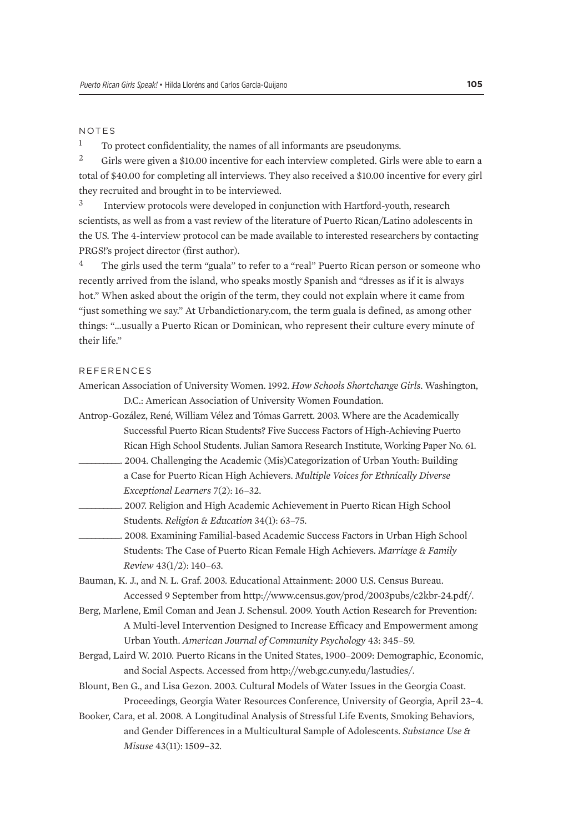#### NOTES

<sup>1</sup> To protect confidentiality, the names of all informants are pseudonyms.

2 Girls were given a \$10.00 incentive for each interview completed. Girls were able to earn a total of \$40.00 for completing all interviews. They also received a \$10.00 incentive for every girl they recruited and brought in to be interviewed.

3 Interview protocols were developed in conjunction with Hartford-youth, research scientists, as well as from a vast review of the literature of Puerto Rican/Latino adolescents in the US. The 4-interview protocol can be made available to interested researchers by contacting PRGS!'s project director (first author).

The girls used the term "guala" to refer to a "real" Puerto Rican person or someone who recently arrived from the island, who speaks mostly Spanish and "dresses as if it is always hot." When asked about the origin of the term, they could not explain where it came from "just something we say." At Urbandictionary.com, the term guala is defined, as among other things: "…usually a Puerto Rican or Dominican, who represent their culture every minute of their life."

#### **REFERENCES**

- American Association of University Women. 1992. *How Schools Shortchange Girls*. Washington, D.C.: American Association of University Women Foundation.
- Antrop-Gozález, René, William Vélez and Tómas Garrett. 2003. Where are the Academically Successful Puerto Rican Students? Five Success Factors of High-Achieving Puerto Rican High School Students. Julian Samora Research Institute, Working Paper No. 61.
- \_\_\_\_\_\_\_\_\_\_. 2004. Challenging the Academic (Mis)Categorization of Urban Youth: Building a Case for Puerto Rican High Achievers. *Multiple Voices for Ethnically Diverse Exceptional Learners* 7(2): 16–32.
- \_\_\_\_\_\_\_\_\_\_. 2007. Religion and High Academic Achievement in Puerto Rican High School Students. *Religion & Education* 34(1): 63–75.
- \_\_\_\_\_\_\_\_\_\_. 2008. Examining Familial-based Academic Success Factors in Urban High School Students: The Case of Puerto Rican Female High Achievers. *Marriage & Family Review* 43(1/2): 140–63.

Bauman, K. J., and N. L. Graf. 2003. Educational Attainment: 2000 U.S. Census Bureau. Accessed 9 September from http://www.census.gov/prod/2003pubs/c2kbr-24.pdf/.

- Berg, Marlene, Emil Coman and Jean J. Schensul. 2009. Youth Action Research for Prevention: A Multi-level Intervention Designed to Increase Efficacy and Empowerment among Urban Youth. *American Journal of Community Psychology* 43: 345–59.
- Bergad, Laird W. 2010. Puerto Ricans in the United States, 1900–2009: Demographic, Economic, and Social Aspects. Accessed from http://web.gc.cuny.edu/lastudies/.
- Blount, Ben G., and Lisa Gezon. 2003. Cultural Models of Water Issues in the Georgia Coast. Proceedings, Georgia Water Resources Conference, University of Georgia, April 23–4.
- Booker, Cara, et al. 2008. A Longitudinal Analysis of Stressful Life Events, Smoking Behaviors, and Gender Differences in a Multicultural Sample of Adolescents. *Substance Use & Misuse* 43(11): 1509–32.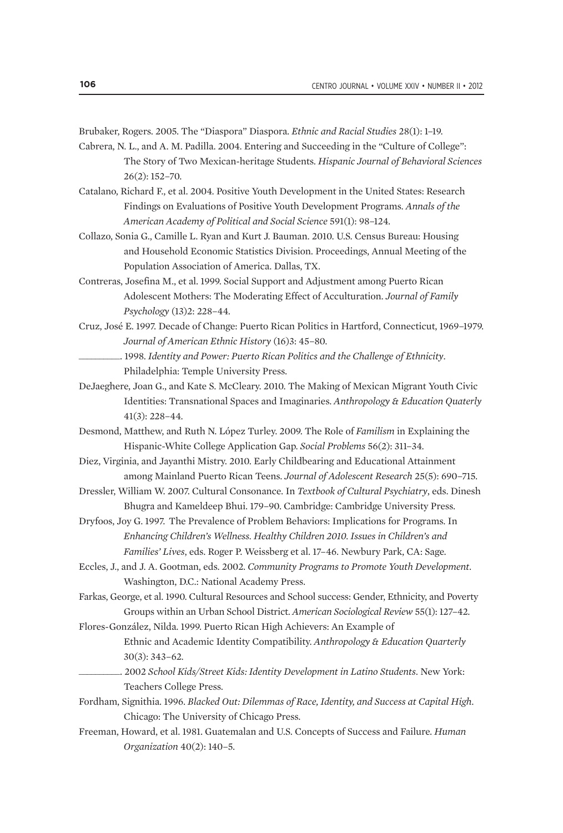Brubaker, Rogers. 2005. The "Diaspora" Diaspora. *Ethnic and Racial Studies* 28(1): 1–19.

- Cabrera, N. L., and A. M. Padilla. 2004. Entering and Succeeding in the "Culture of College": The Story of Two Mexican-heritage Students. *Hispanic Journal of Behavioral Sciences* 26(2): 152–70.
- Catalano, Richard F., et al. 2004. Positive Youth Development in the United States: Research Findings on Evaluations of Positive Youth Development Programs. *Annals of the American Academy of Political and Social Science* 591(1): 98–124.
- Collazo, Sonia G., Camille L. Ryan and Kurt J. Bauman. 2010. U.S. Census Bureau: Housing and Household Economic Statistics Division. Proceedings, Annual Meeting of the Population Association of America. Dallas, TX.
- Contreras, Josefina M., et al. 1999. Social Support and Adjustment among Puerto Rican Adolescent Mothers: The Moderating Effect of Acculturation. *Journal of Family Psychology* (13)2: 228–44.
- Cruz, José E. 1997. Decade of Change: Puerto Rican Politics in Hartford, Connecticut, 1969–1979. *Journal of American Ethnic History* (16)3: 45–80.
	- \_\_\_\_\_\_\_\_\_\_. 1998. *Identity and Power: Puerto Rican Politics and the Challenge of Ethnicity*. Philadelphia: Temple University Press.
- DeJaeghere, Joan G., and Kate S. McCleary. 2010. The Making of Mexican Migrant Youth Civic Identities: Transnational Spaces and Imaginaries. *Anthropology & Education Quaterly* 41(3): 228–44.
- Desmond, Matthew, and Ruth N. López Turley. 2009. The Role of *Familism* in Explaining the Hispanic-White College Application Gap. *Social Problems* 56(2): 311–34.
- Diez, Virginia, and Jayanthi Mistry. 2010. Early Childbearing and Educational Attainment among Mainland Puerto Rican Teens. *Journal of Adolescent Research* 25(5): 690–715.
- Dressler, William W. 2007. Cultural Consonance. In *Textbook of Cultural Psychiatry*, eds. Dinesh Bhugra and Kameldeep Bhui. 179–90. Cambridge: Cambridge University Press.
- Dryfoos, Joy G. 1997. The Prevalence of Problem Behaviors: Implications for Programs. In *Enhancing Children's Wellness. Healthy Children 2010. Issues in Children's and Families' Lives*, eds. Roger P. Weissberg et al. 17–46. Newbury Park, CA: Sage.
- Eccles, J., and J. A. Gootman, eds. 2002. *Community Programs to Promote Youth Development*. Washington, D.C.: National Academy Press.
- Farkas, George, et al. 1990. Cultural Resources and School success: Gender, Ethnicity, and Poverty Groups within an Urban School District. *American Sociological Review* 55(1): 127–42.

Flores-González, Nilda. 1999. Puerto Rican High Achievers: An Example of Ethnic and Academic Identity Compatibility. *Anthropology & Education Quarterly* 30(3): 343–62.

- \_\_\_\_\_\_\_\_\_\_. 2002 *School Kids/Street Kids: Identity Development in Latino Students*. New York: Teachers College Press.
- Fordham, Signithia. 1996. *Blacked Out: Dilemmas of Race, Identity, and Success at Capital High*. Chicago: The University of Chicago Press.
- Freeman, Howard, et al. 1981. Guatemalan and U.S. Concepts of Success and Failure. *Human Organization* 40(2): 140–5.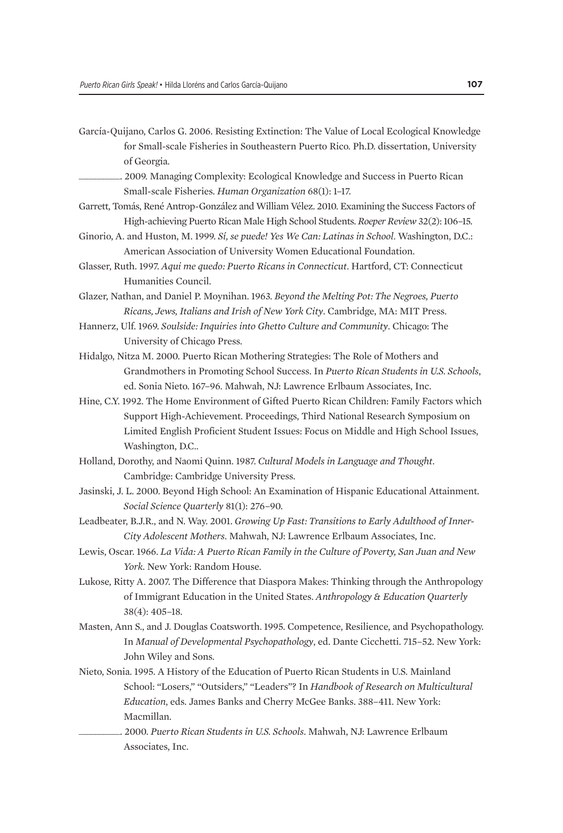- García-Quijano, Carlos G. 2006. Resisting Extinction: The Value of Local Ecological Knowledge for Small-scale Fisheries in Southeastern Puerto Rico. Ph.D. dissertation, University of Georgia.
	- \_\_\_\_\_\_\_\_\_\_. 2009. Managing Complexity: Ecological Knowledge and Success in Puerto Rican Small-scale Fisheries. *Human Organization* 68(1): 1–17.
- Garrett, Tomás, René Antrop-González and William Vélez. 2010. Examining the Success Factors of High-achieving Puerto Rican Male High School Students. *Roeper Review* 32(2): 106–15.
- Ginorio, A. and Huston, M. 1999. *Sí, se puede! Yes We Can: Latinas in School*. Washington, D.C.: American Association of University Women Educational Foundation.
- Glasser, Ruth. 1997. *Aqui me quedo: Puerto Ricans in Connecticut*. Hartford, CT: Connecticut Humanities Council.

Glazer, Nathan, and Daniel P. Moynihan. 1963. *Beyond the Melting Pot: The Negroes, Puerto Ricans, Jews, Italians and Irish of New York City*. Cambridge, MA: MIT Press.

- Hannerz, Ulf. 1969. *Soulside: Inquiries into Ghetto Culture and Community*. Chicago: The University of Chicago Press.
- Hidalgo, Nitza M. 2000. Puerto Rican Mothering Strategies: The Role of Mothers and Grandmothers in Promoting School Success. In *Puerto Rican Students in U.S. Schools*, ed. Sonia Nieto. 167–96. Mahwah, NJ: Lawrence Erlbaum Associates, Inc.
- Hine, C.Y. 1992. The Home Environment of Gifted Puerto Rican Children: Family Factors which Support High-Achievement. Proceedings, Third National Research Symposium on Limited English Proficient Student Issues: Focus on Middle and High School Issues, Washington, D.C..
- Holland, Dorothy, and Naomi Quinn. 1987. *Cultural Models in Language and Thought*. Cambridge: Cambridge University Press.
- Jasinski, J. L. 2000. Beyond High School: An Examination of Hispanic Educational Attainment. *Social Science Quarterly* 81(1): 276–90.
- Leadbeater, B.J.R., and N. Way. 2001. *Growing Up Fast: Transitions to Early Adulthood of Inner-City Adolescent Mothers*. Mahwah, NJ: Lawrence Erlbaum Associates, Inc.
- Lewis, Oscar. 1966. *La Vida: A Puerto Rican Family in the Culture of Poverty, San Juan and New York*. New York: Random House.
- Lukose, Ritty A. 2007. The Difference that Diaspora Makes: Thinking through the Anthropology of Immigrant Education in the United States. *Anthropology & Education Quarterly* 38(4): 405–18.
- Masten, Ann S., and J. Douglas Coatsworth. 1995. Competence, Resilience, and Psychopathology. In *Manual of Developmental Psychopathology*, ed. Dante Cicchetti. 715–52. New York: John Wiley and Sons.
- Nieto, Sonia. 1995. A History of the Education of Puerto Rican Students in U.S. Mainland School: "Losers," "Outsiders," "Leaders"? In *Handbook of Research on Multicultural Education*, eds. James Banks and Cherry McGee Banks. 388–411. New York: Macmillan.
	- \_\_\_\_\_\_\_\_\_\_. 2000. *Puerto Rican Students in U.S. Schools*. Mahwah, NJ: Lawrence Erlbaum Associates, Inc.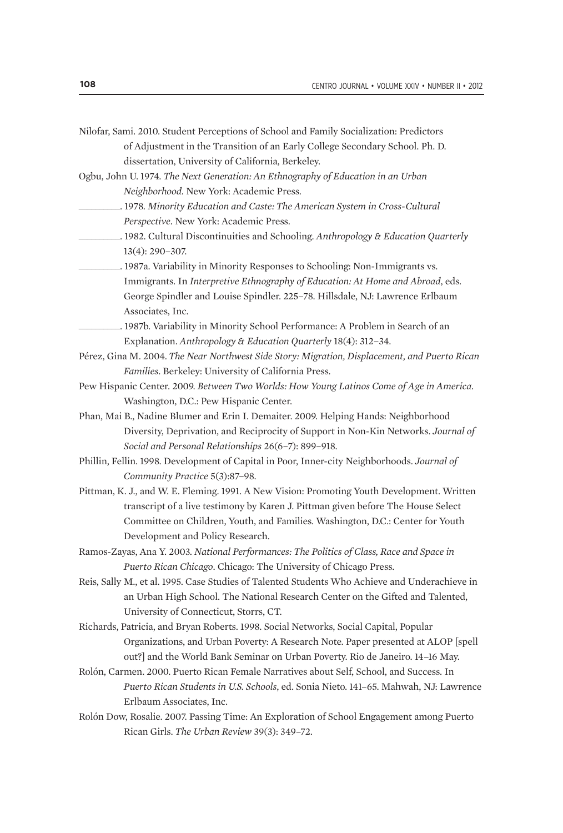- Nilofar, Sami. 2010. Student Perceptions of School and Family Socialization: Predictors of Adjustment in the Transition of an Early College Secondary School. Ph. D. dissertation, University of California, Berkeley.
- Ogbu, John U. 1974. *The Next Generation: An Ethnography of Education in an Urban Neighborhood*. New York: Academic Press.
- \_\_\_\_\_\_\_\_\_\_. 1978. *Minority Education and Caste: The American System in Cross-Cultural Perspective*. New York: Academic Press.
- \_\_\_\_\_\_\_\_\_\_. 1982. Cultural Discontinuities and Schooling. *Anthropology & Education Quarterly*  13(4): 290–307.

\_\_\_\_\_\_\_\_\_\_. 1987a. Variability in Minority Responses to Schooling: Non-Immigrants vs. Immigrants. In *Interpretive Ethnography of Education: At Home and Abroad*, eds. George Spindler and Louise Spindler. 225–78. Hillsdale, NJ: Lawrence Erlbaum Associates, Inc.

- \_\_\_\_\_\_\_\_\_\_. 1987b. Variability in Minority School Performance: A Problem in Search of an Explanation. *Anthropology & Education Quarterly* 18(4): 312–34.
- Pérez, Gina M. 2004. *The Near Northwest Side Story: Migration, Displacement, and Puerto Rican Families*. Berkeley: University of California Press.
- Pew Hispanic Center. 2009. *Between Two Worlds: How Young Latinos Come of Age in America*. Washington, D.C.: Pew Hispanic Center.
- Phan, Mai B., Nadine Blumer and Erin I. Demaiter. 2009. Helping Hands: Neighborhood Diversity, Deprivation, and Reciprocity of Support in Non-Kin Networks. *Journal of Social and Personal Relationships* 26(6–7): 899–918.
- Phillin, Fellin. 1998. Development of Capital in Poor, Inner-city Neighborhoods. *Journal of Community Practice* 5(3):87–98.
- Pittman, K. J., and W. E. Fleming. 1991. A New Vision: Promoting Youth Development. Written transcript of a live testimony by Karen J. Pittman given before The House Select Committee on Children, Youth, and Families. Washington, D.C.: Center for Youth Development and Policy Research.
- Ramos-Zayas, Ana Y. 2003. *National Performances: The Politics of Class, Race and Space in Puerto Rican Chicago*. Chicago: The University of Chicago Press.
- Reis, Sally M., et al. 1995. Case Studies of Talented Students Who Achieve and Underachieve in an Urban High School. The National Research Center on the Gifted and Talented, University of Connecticut, Storrs, CT.
- Richards, Patricia, and Bryan Roberts. 1998. Social Networks, Social Capital, Popular Organizations, and Urban Poverty: A Research Note. Paper presented at ALOP [spell out?] and the World Bank Seminar on Urban Poverty. Rio de Janeiro. 14–16 May.
- Rolón, Carmen. 2000. Puerto Rican Female Narratives about Self, School, and Success. In *Puerto Rican Students in U.S. Schools*, ed. Sonia Nieto. 141–65. Mahwah, NJ: Lawrence Erlbaum Associates, Inc.
- Rolón Dow, Rosalie. 2007. Passing Time: An Exploration of School Engagement among Puerto Rican Girls. *The Urban Review* 39(3): 349–72.